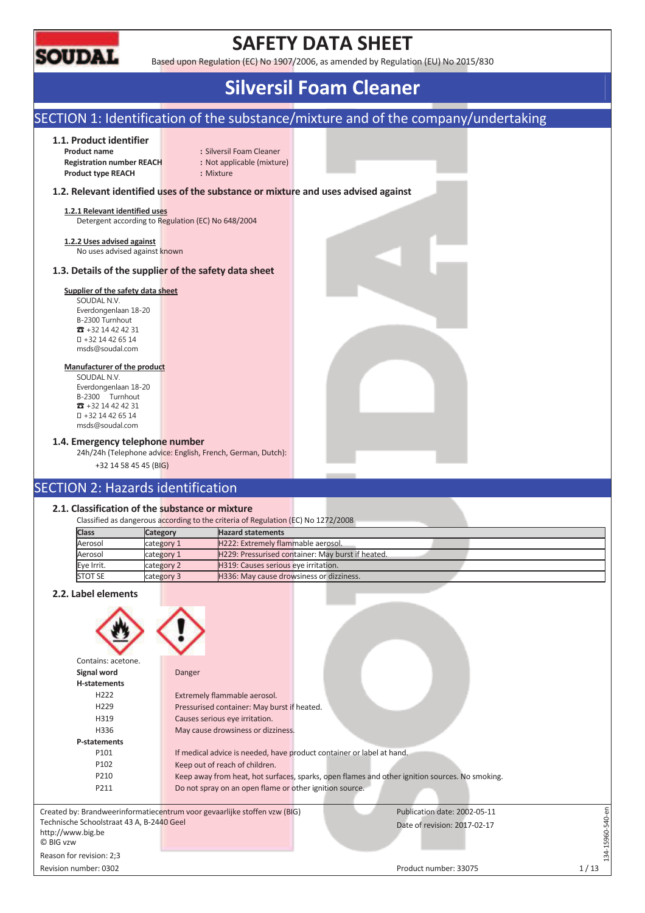

# **SAFETY DATA SHEET**

Based upon Regulation (EC) No 1907/2006, as amended by Regulation (EU) No 2015/830

# **Silversil Foam Cleaner**

# SECTION 1: Identification of the substance/mixture and of the company/undertaking

# **1.1. Product identifier**

**Registration number REACH :** Not applicable (mixture) **Product type REACH :** Mixture

**Product name** : Silversil Foam Cleaner

# **1.2. Relevant identified uses of the substance or mixture and uses advised against**

**1.2.1 Relevant identified uses**  Detergent according to Regulation (EC) No 648/2004

**1.2.2 Uses advised against** 

No uses advised against known

# **1.3. Details of the supplier of the safety data sheet**

# **Supplier of the safety data sheet**

SOUDAL N.V. Everdongenlaan 18-20 B-2300 Turnhout  $\overline{3}$  +32 14 42 42 31 +32 14 42 65 14 msds@soudal.com

## **Manufacturer of the product**

SOUDAL N.V. Everdongenlaan 18-20 B-2300 Turnhout  $\overline{3}$  +32 14 42 42 31 +32 14 42 65 14 msds@soudal.com

# **1.4. Emergency telephone number**

24h/24h (Telephone advice: English, French, German, Dutch):

+32 14 58 45 45 (BIG)

# SECTION 2: Hazards identification

## **2.1. Classification of the substance or mixture**

|              |            | Classified as dangerous according to the criteria of Regulation (EC) No 1272/2008 |
|--------------|------------|-----------------------------------------------------------------------------------|
| <b>Class</b> | Category   | <b>Hazard statements</b>                                                          |
| Aerosol      | category 1 | H222: Extremely flammable aerosol.                                                |
| Aerosol      | category 1 | H229: Pressurised container: May burst if heated.                                 |
| Eye Irrit.   | category 2 | H319: Causes serious eye irritation.                                              |
| STOT SE      | category 3 | H336: May cause drowsiness or dizziness.                                          |

# **2.2. Label elements**

| Contains: acetone.                                             |                                                                           |                                                                                                |                 |
|----------------------------------------------------------------|---------------------------------------------------------------------------|------------------------------------------------------------------------------------------------|-----------------|
| Signal word                                                    | Danger                                                                    |                                                                                                |                 |
| <b>H-statements</b>                                            |                                                                           |                                                                                                |                 |
| H <sub>222</sub>                                               | Extremely flammable aerosol.                                              |                                                                                                |                 |
| H <sub>229</sub>                                               | Pressurised container: May burst if heated.                               |                                                                                                |                 |
| H319                                                           | Causes serious eye irritation.                                            |                                                                                                |                 |
| H336                                                           | May cause drowsiness or dizziness.                                        |                                                                                                |                 |
| P-statements                                                   |                                                                           |                                                                                                |                 |
| P101                                                           | If medical advice is needed, have product container or label at hand.     |                                                                                                |                 |
| P102                                                           | Keep out of reach of children.                                            |                                                                                                |                 |
| P210                                                           |                                                                           | Keep away from heat, hot surfaces, sparks, open flames and other ignition sources. No smoking. |                 |
| P211                                                           | Do not spray on an open flame or other ignition source.                   |                                                                                                |                 |
|                                                                |                                                                           |                                                                                                |                 |
|                                                                | Created by: Brandweerinformatiecentrum voor gevaarlijke stoffen vzw (BIG) | Publication date: 2002-05-11                                                                   |                 |
| Technische Schoolstraat 43 A, B-2440 Geel<br>http://www.big.be |                                                                           | Date of revision: 2017-02-17                                                                   | 34-15960-540-en |
| C BIG vzw                                                      |                                                                           |                                                                                                |                 |
| Reason for revision: 2;3                                       |                                                                           |                                                                                                |                 |
| Revision number: 0302                                          |                                                                           | Product number: 33075                                                                          | 1/13            |
|                                                                |                                                                           |                                                                                                |                 |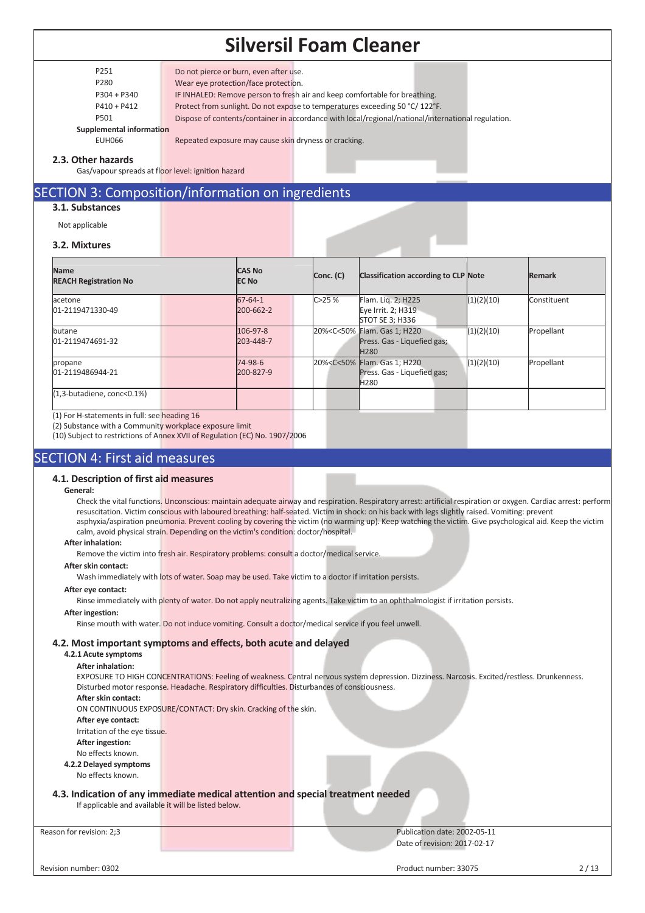P251 Do not pierce or burn, even after use.

P280 Wear eye protection/face protection.

P304 + P340 IF INHALED: Remove person to fresh air and keep comfortable for breathing.

P410 + P412 Protect from sunlight. Do not expose to temperatures exceeding 50 °C/ 122°F.

P501 Dispose of contents/container in accordance with local/regional/national/international regulation.

**Supplemental information** 

EUH066 Repeated exposure may cause skin dryness or cracking.

## **2.3. Other hazards**

Gas/vapour spreads at floor level: ignition hazard

# SECTION 3: Composition/information on ingredients

# **3.1. Substances**

Not applicable

## **3.2. Mixtures**

| <b>Name</b><br><b>REACH Registration No</b> |  |               | <b>CAS No</b><br>Conc. (C)<br><b>EC No</b> |         | <b>Classification according to CLP Note</b>                                                    |            | Remark      |
|---------------------------------------------|--|---------------|--------------------------------------------|---------|------------------------------------------------------------------------------------------------|------------|-------------|
| acetone                                     |  | $67 - 64 - 1$ |                                            | C > 25% | Flam. Lig. 2; H225                                                                             | (1)(2)(10) | Constituent |
| 01-2119471330-49                            |  | 200-662-2     |                                            |         | Eye Irrit. 2; H319<br>STOT SE 3; H336                                                          |            |             |
| butane                                      |  | 106-97-8      |                                            |         | 20% <c<50% 1;="" flam.="" gas="" h220<="" td=""><td>(1)(2)(10)</td><td>Propellant</td></c<50%> | (1)(2)(10) | Propellant  |
| 01-2119474691-32                            |  | 203-448-7     |                                            |         | Press. Gas - Liquefied gas;<br>H <sub>280</sub>                                                |            |             |
| propane                                     |  | 74-98-6       |                                            |         | 20% <c<50% 1;="" flam.="" gas="" h220<="" td=""><td>(1)(2)(10)</td><td>Propellant</td></c<50%> | (1)(2)(10) | Propellant  |
| 01-2119486944-21                            |  | 200-827-9     |                                            |         | Press. Gas - Liquefied gas;<br>H <sub>280</sub>                                                |            |             |
| $(1,3$ -butadiene, conc< $0.1\%$ )          |  |               |                                            |         |                                                                                                |            |             |

(1) For H-statements in full: see heading 16

(2) Substance with a Community workplace exposure limit

(10) Subject to restrictions of Annex XVII of Regulation (EC) No. 1907/2006

# SECTION 4: First aid measures

# **4.1. Description of first aid measures**

#### **General:**

Check the vital functions. Unconscious: maintain adequate airway and respiration. Respiratory arrest: artificial respiration or oxygen. Cardiac arrest: perform resuscitation. Victim conscious with laboured breathing: half-seated. Victim in shock: on his back with legs slightly raised. Vomiting: prevent asphyxia/aspiration pneumonia. Prevent cooling by covering the victim (no warming up). Keep watching the victim. Give psychological aid. Keep the victim calm, avoid physical strain. Depending on the victim's condition: doctor/hospital.

### **After inhalation:**

Remove the victim into fresh air. Respiratory problems: consult a doctor/medical service.

#### **After skin contact:**

Wash immediately with lots of water. Soap may be used. Take victim to a doctor if irritation persists.

#### **After eye contact:**

Rinse immediately with plenty of water. Do not apply neutralizing agents. Take victim to an ophthalmologist if irritation persists.

#### **After ingestion:**

Rinse mouth with water. Do not induce vomiting. Consult a doctor/medical service if you feel unwell.

# **4.2. Most important symptoms and effects, both acute and delayed**

## **4.2.1 Acute symptoms**

### **After inhalation:**

EXPOSURE TO HIGH CONCENTRATIONS: Feeling of weakness. Central nervous system depression. Dizziness. Narcosis. Excited/restless. Drunkenness. Disturbed motor response. Headache. Respiratory difficulties. Disturbances of consciousness. **After skin contact:** 

ON CONTINUOUS EXPOSURE/CONTACT: Dry skin. Cracking of the skin.

**After eye contact:** 

Irritation of the eye tissue.

**After ingestion:** 

No effects known.

**4.2.2 Delayed symptoms** 

No effects known.

## **4.3. Indication of any immediate medical attention and special treatment needed**

If applicable and available it will be listed below.

Reason for revision: 2;3 Publication date: 2002-05-11 Date of revision: 2017-02-17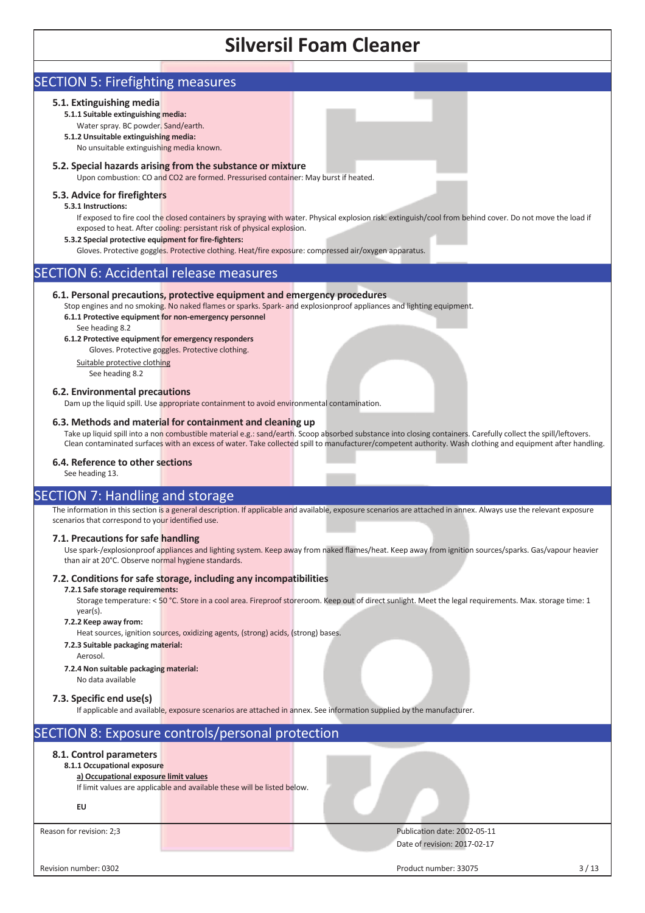# SECTION 5: Firefighting measures

# **5.1. Extinguishing media**

- **5.1.1 Suitable extinguishing media:**  Water spray. BC powder. Sand/earth.
- **5.1.2 Unsuitable extinguishing media:**
- No unsuitable extinguishing media known.

## **5.2. Special hazards arising from the substance or mixture**

Upon combustion: CO and CO2 are formed. Pressurised container: May burst if heated.

## **5.3. Advice for firefighters**

## **5.3.1 Instructions:**

If exposed to fire cool the closed containers by spraying with water. Physical explosion risk: extinguish/cool from behind cover. Do not move the load if exposed to heat. After cooling: persistant risk of physical explosion.

### **5.3.2 Special protective equipment for fire-fighters:**

Gloves. Protective goggles. Protective clothing. Heat/fire exposure: compressed air/oxygen apparatus.

# SECTION 6: Accidental release measures

## **6.1. Personal precautions, protective equipment and emergency procedures**

Stop engines and no smoking. No naked flames or sparks. Spark- and explosionproof appliances and lighting equipment.

# **6.1.1 Protective equipment for non-emergency personnel**

See heading 8.2

# **6.1.2 Protective equipment for emergency responders**

Gloves. Protective goggles. Protective clothing.

Suitable protective clothing

# See heading 8.2

### **6.2. Environmental precautions**

Dam up the liquid spill. Use appropriate containment to avoid environmental contamination.

## **6.3. Methods and material for containment and cleaning up**

Take up liquid spill into a non combustible material e.g.: sand/earth. Scoop absorbed substance into closing containers. Carefully collect the spill/leftovers. Clean contaminated surfaces with an excess of water. Take collected spill to manufacturer/competent authority. Wash clothing and equipment after handling.

### **6.4. Reference to other sections**

See heading 13.

# SECTION 7: Handling and storage

The information in this section is a general description. If applicable and available, exposure scenarios are attached in annex. Always use the relevant exposure scenarios that correspond to your identified use.

### **7.1. Precautions for safe handling**

Use spark-/explosionproof appliances and lighting system. Keep away from naked flames/heat. Keep away from ignition sources/sparks. Gas/vapour heavier than air at 20°C. Observe normal hygiene standards.

# **7.2. Conditions for safe storage, including any incompatibilities**

## **7.2.1 Safe storage requirements:**

Storage temperature: < 50 °C. Store in a cool area. Fireproof storeroom. Keep out of direct sunlight. Meet the legal requirements. Max. storage time: 1 year(s).

## **7.2.2 Keep away from:**

Heat sources, ignition sources, oxidizing agents, (strong) acids, (strong) bases.

- **7.2.3 Suitable packaging material:** 
	- **Aerosol**
- **7.2.4 Non suitable packaging material:**
- No data available

# **7.3. Specific end use(s)**

If applicable and available, exposure scenarios are attached in annex. See information supplied by the manufacturer.

# SECTION 8: Exposure controls/personal protection

# **8.1. Control parameters**

# **8.1.1 Occupational exposure**

# **a) Occupational exposure limit values**

If limit values are applicable and available these will be listed below.

## **EU**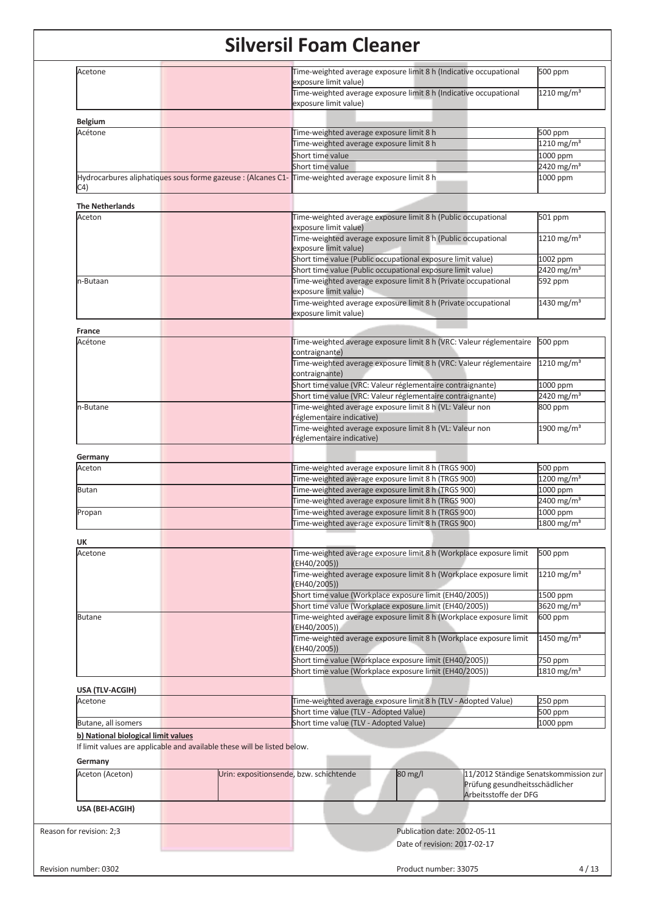| <b>Belgium</b><br>Acétone<br>C4)<br><b>The Netherlands</b><br>Aceton |                                                                          | Time-weighted average exposure limit 8 h (Indicative occupational<br>exposure limit value)            | 1210 mg/m <sup>3</sup>   |
|----------------------------------------------------------------------|--------------------------------------------------------------------------|-------------------------------------------------------------------------------------------------------|--------------------------|
|                                                                      |                                                                          |                                                                                                       |                          |
|                                                                      |                                                                          |                                                                                                       |                          |
|                                                                      |                                                                          | Time-weighted average exposure limit 8 h                                                              | 500 ppm                  |
|                                                                      |                                                                          | Time-weighted average exposure limit 8 h                                                              | 1210 mg/m <sup>3</sup>   |
|                                                                      |                                                                          | Short time value                                                                                      | 1000 ppm                 |
|                                                                      |                                                                          | Short time value                                                                                      | 2420 mg/m <sup>3</sup>   |
|                                                                      |                                                                          | Hydrocarbures aliphatiques sous forme gazeuse : (Alcanes C1- Time-weighted average exposure limit 8 h | 1000 ppm                 |
|                                                                      |                                                                          |                                                                                                       |                          |
|                                                                      |                                                                          |                                                                                                       |                          |
|                                                                      |                                                                          | Time-weighted average exposure limit 8 h (Public occupational                                         | 501 ppm                  |
|                                                                      |                                                                          | exposure limit value)                                                                                 |                          |
|                                                                      |                                                                          | Time-weighted average exposure limit 8 h (Public occupational<br>exposure limit value)                | 1210 mg/m <sup>3</sup>   |
|                                                                      |                                                                          | Short time value (Public occupational exposure limit value)                                           | 1002 ppm                 |
|                                                                      |                                                                          | Short time value (Public occupational exposure limit value)                                           | 2420 mg/m <sup>3</sup>   |
| n-Butaan                                                             |                                                                          | Time-weighted average exposure limit 8 h (Private occupational                                        | 592 ppm                  |
|                                                                      |                                                                          | exposure limit value)                                                                                 |                          |
|                                                                      |                                                                          | Time-weighted average exposure limit 8 h (Private occupational<br>exposure limit value)               | $1430$ mg/m <sup>3</sup> |
|                                                                      |                                                                          |                                                                                                       |                          |
| France                                                               |                                                                          |                                                                                                       |                          |
| Acétone                                                              |                                                                          | Time-weighted average exposure limit 8 h (VRC: Valeur réglementaire<br>contraignante)                 | 500 ppm                  |
|                                                                      |                                                                          | Time-weighted average exposure limit 8 h (VRC: Valeur réglementaire<br>contraignante)                 | 1210 mg/m <sup>3</sup>   |
|                                                                      |                                                                          | Short time value (VRC: Valeur réglementaire contraignante)                                            | 1000 ppm                 |
|                                                                      |                                                                          | Short time value (VRC: Valeur réglementaire contraignante)                                            | 2420 mg/m <sup>3</sup>   |
| n-Butane                                                             |                                                                          | Time-weighted average exposure limit 8 h (VL: Valeur non<br>réglementaire indicative)                 | 800 ppm                  |
|                                                                      |                                                                          | Time-weighted average exposure limit 8 h (VL: Valeur non<br>réglementaire indicative)                 | 1900 mg/m <sup>3</sup>   |
| Germany                                                              |                                                                          |                                                                                                       |                          |
| Aceton                                                               |                                                                          | Time-weighted average exposure limit 8 h (TRGS 900)                                                   | 500 ppm                  |
|                                                                      |                                                                          | Time-weighted average exposure limit 8 h (TRGS 900)                                                   | 1200 mg/m <sup>3</sup>   |
| Butan                                                                |                                                                          | Time-weighted average exposure limit 8 h (TRGS 900)                                                   | 1000 ppm                 |
|                                                                      |                                                                          | Time-weighted average exposure limit 8 h (TRGS 900)                                                   | 2400 mg/m <sup>3</sup>   |
| Propan                                                               |                                                                          | Time-weighted average exposure limit 8 h (TRGS 900)                                                   | 1000 ppm                 |
|                                                                      |                                                                          | Time-weighted average exposure limit 8 h (TRGS 900)                                                   | 1800 mg/m <sup>3</sup>   |
| UK                                                                   |                                                                          |                                                                                                       |                          |
| Acetone                                                              |                                                                          | Time-weighted average exposure limit 8 h (Workplace exposure limit                                    | 500 ppm                  |
|                                                                      |                                                                          | (EH40/2005))                                                                                          |                          |
|                                                                      |                                                                          | Time-weighted average exposure limit 8 h (Workplace exposure limit<br>(EH40/2005))                    | 1210 mg/m <sup>3</sup>   |
|                                                                      |                                                                          | Short time value (Workplace exposure limit (EH40/2005))                                               | 1500 ppm                 |
|                                                                      |                                                                          | Short time value (Workplace exposure limit (EH40/2005))                                               | 3620 mg/m <sup>3</sup>   |
| <b>Butane</b>                                                        |                                                                          | Time-weighted average exposure limit 8 h (Workplace exposure limit<br>(EH40/2005))                    | 600 ppm                  |
|                                                                      |                                                                          | Time-weighted average exposure limit 8 h (Workplace exposure limit<br>(EH40/2005))                    | 1450 mg/m <sup>3</sup>   |
|                                                                      |                                                                          | Short time value (Workplace exposure limit (EH40/2005))                                               | 750 ppm                  |
|                                                                      |                                                                          | Short time value (Workplace exposure limit (EH40/2005))                                               | 1810 mg/m <sup>3</sup>   |
| USA (TLV-ACGIH)                                                      |                                                                          |                                                                                                       |                          |
| Acetone                                                              |                                                                          | Time-weighted average exposure limit 8 h (TLV - Adopted Value)                                        | 250 ppm                  |
|                                                                      |                                                                          | Short time value (TLV - Adopted Value)                                                                | 500 ppm                  |
| Butane, all isomers                                                  |                                                                          | Short time value (TLV - Adopted Value)                                                                | 1000 ppm                 |
| b) National biological limit values                                  |                                                                          |                                                                                                       |                          |
| Germany                                                              | If limit values are applicable and available these will be listed below. |                                                                                                       |                          |
|                                                                      |                                                                          |                                                                                                       |                          |
| Aceton (Aceton)                                                      | Urin: expositionsende, bzw. schichtende                                  | 80 mg/l<br>11/2012 Ständige Senatskommission zur<br>Prüfung gesundheitsschädlicher                    |                          |
| USA (BEI-ACGIH)                                                      |                                                                          | Arbeitsstoffe der DFG                                                                                 |                          |
|                                                                      |                                                                          |                                                                                                       |                          |
| Reason for revision: 2;3                                             |                                                                          | Publication date: 2002-05-11                                                                          |                          |
|                                                                      |                                                                          | Date of revision: 2017-02-17                                                                          |                          |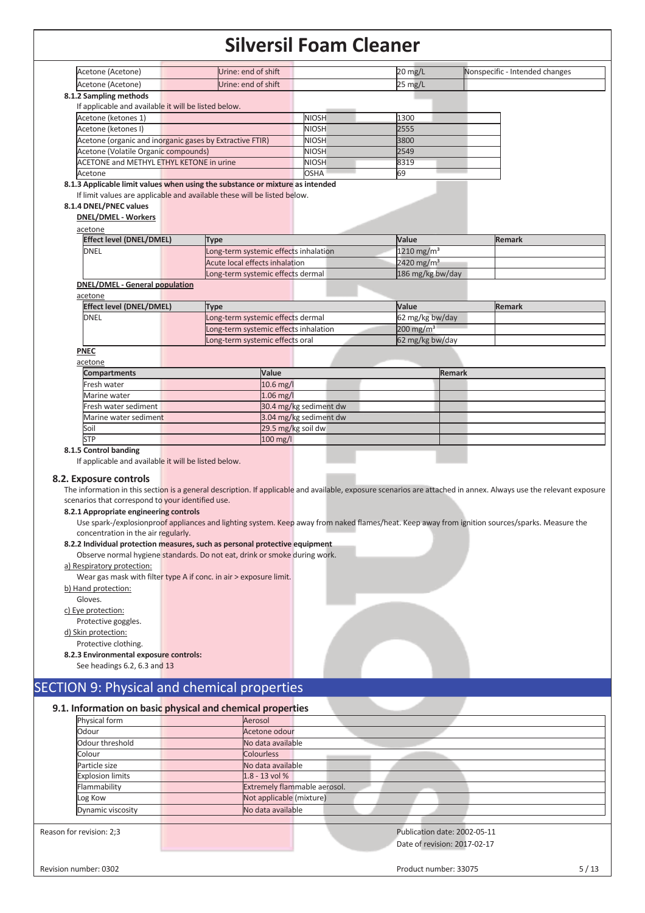|                                                                                                                                                                                                                                                                                                                                                                                                                                                                             | Urine: end of shift                                  |                              | $20 \text{ mg/L}$            |               | Nonspecific - Intended changes                                                                                                                  |
|-----------------------------------------------------------------------------------------------------------------------------------------------------------------------------------------------------------------------------------------------------------------------------------------------------------------------------------------------------------------------------------------------------------------------------------------------------------------------------|------------------------------------------------------|------------------------------|------------------------------|---------------|-------------------------------------------------------------------------------------------------------------------------------------------------|
| Acetone (Acetone)                                                                                                                                                                                                                                                                                                                                                                                                                                                           | Urine: end of shift                                  |                              | 25 mg/L                      |               |                                                                                                                                                 |
| 8.1.2 Sampling methods                                                                                                                                                                                                                                                                                                                                                                                                                                                      |                                                      |                              |                              |               |                                                                                                                                                 |
| If applicable and available it will be listed below.                                                                                                                                                                                                                                                                                                                                                                                                                        |                                                      |                              |                              |               |                                                                                                                                                 |
| Acetone (ketones 1)                                                                                                                                                                                                                                                                                                                                                                                                                                                         |                                                      | <b>NIOSH</b>                 | 1300                         |               |                                                                                                                                                 |
| Acetone (ketones I)                                                                                                                                                                                                                                                                                                                                                                                                                                                         |                                                      | <b>NIOSH</b>                 | 2555                         |               |                                                                                                                                                 |
| Acetone (organic and inorganic gases by Extractive FTIR)                                                                                                                                                                                                                                                                                                                                                                                                                    |                                                      | <b>NIOSH</b>                 | 3800                         |               |                                                                                                                                                 |
| Acetone (Volatile Organic compounds)                                                                                                                                                                                                                                                                                                                                                                                                                                        |                                                      | <b>NIOSH</b>                 | 2549                         |               |                                                                                                                                                 |
| <b>ACETONE and METHYL ETHYL KETONE in urine</b>                                                                                                                                                                                                                                                                                                                                                                                                                             |                                                      | <b>NIOSH</b>                 | 8319                         |               |                                                                                                                                                 |
| Acetone<br>8.1.3 Applicable limit values when using the substance or mixture as intended                                                                                                                                                                                                                                                                                                                                                                                    |                                                      | <b>OSHA</b>                  | 69                           |               |                                                                                                                                                 |
| If limit values are applicable and available these will be listed below.<br>8.1.4 DNEL/PNEC values<br><b>DNEL/DMEL - Workers</b><br>acetone                                                                                                                                                                                                                                                                                                                                 |                                                      |                              |                              |               |                                                                                                                                                 |
| <b>Effect level (DNEL/DMEL)</b>                                                                                                                                                                                                                                                                                                                                                                                                                                             | <b>Type</b>                                          |                              | Value                        |               | <b>Remark</b>                                                                                                                                   |
| <b>DNEL</b>                                                                                                                                                                                                                                                                                                                                                                                                                                                                 | Long-term systemic effects inhalation                |                              | 1210 mg/m <sup>3</sup>       |               |                                                                                                                                                 |
|                                                                                                                                                                                                                                                                                                                                                                                                                                                                             | Acute local effects inhalation                       |                              | 2420 mg/m <sup>3</sup>       |               |                                                                                                                                                 |
|                                                                                                                                                                                                                                                                                                                                                                                                                                                                             | Long-term systemic effects dermal                    |                              | 186 mg/kg bw/day             |               |                                                                                                                                                 |
| <b>DNEL/DMEL - General population</b>                                                                                                                                                                                                                                                                                                                                                                                                                                       |                                                      |                              |                              |               |                                                                                                                                                 |
| acetone                                                                                                                                                                                                                                                                                                                                                                                                                                                                     |                                                      |                              |                              |               |                                                                                                                                                 |
| <b>Effect level (DNEL/DMEL)</b>                                                                                                                                                                                                                                                                                                                                                                                                                                             | <b>Type</b>                                          |                              | Value                        |               | <b>Remark</b>                                                                                                                                   |
| <b>DNEL</b>                                                                                                                                                                                                                                                                                                                                                                                                                                                                 | Long-term systemic effects dermal                    |                              | 62 mg/kg bw/day              |               |                                                                                                                                                 |
|                                                                                                                                                                                                                                                                                                                                                                                                                                                                             | Long-term systemic effects inhalation                |                              | $200$ mg/m <sup>3</sup>      |               |                                                                                                                                                 |
| <b>PNEC</b>                                                                                                                                                                                                                                                                                                                                                                                                                                                                 | Long-term systemic effects oral                      |                              | 62 mg/kg bw/day              |               |                                                                                                                                                 |
| acetone                                                                                                                                                                                                                                                                                                                                                                                                                                                                     |                                                      |                              |                              |               |                                                                                                                                                 |
| <b>Compartments</b>                                                                                                                                                                                                                                                                                                                                                                                                                                                         |                                                      | Value                        |                              | <b>Remark</b> |                                                                                                                                                 |
| Fresh water                                                                                                                                                                                                                                                                                                                                                                                                                                                                 |                                                      | 10.6 mg/l                    |                              |               |                                                                                                                                                 |
| Marine water                                                                                                                                                                                                                                                                                                                                                                                                                                                                |                                                      | $1.06$ mg/l                  |                              |               |                                                                                                                                                 |
| Fresh water sediment                                                                                                                                                                                                                                                                                                                                                                                                                                                        |                                                      | 30.4 mg/kg sediment dw       |                              |               |                                                                                                                                                 |
| Marine water sediment                                                                                                                                                                                                                                                                                                                                                                                                                                                       |                                                      | 3.04 mg/kg sediment dw       |                              |               |                                                                                                                                                 |
| Soil                                                                                                                                                                                                                                                                                                                                                                                                                                                                        |                                                      | 29.5 mg/kg soil dw           |                              |               |                                                                                                                                                 |
| <b>STP</b>                                                                                                                                                                                                                                                                                                                                                                                                                                                                  |                                                      | $100$ mg/l                   |                              |               |                                                                                                                                                 |
| 8.2. Exposure controls<br>The information in this section is a general description. If applicable and available, exposure scenarios are attached in annex. Always use the relevant exposure<br>scenarios that correspond to your identified use.<br>8.2.1 Appropriate engineering controls                                                                                                                                                                                  | If applicable and available it will be listed below. |                              |                              |               |                                                                                                                                                 |
| concentration in the air regularly.<br>8.2.2 Individual protection measures, such as personal protective equipment<br>Observe normal hygiene standards. Do not eat, drink or smoke during work.<br>a) Respiratory protection:<br>Wear gas mask with filter type A if conc. in air > exposure limit.<br>b) Hand protection:<br>Gloves.<br>c) Eye protection:<br>Protective goggles.<br>d) Skin protection:<br>Protective clothing.<br>8.2.3 Environmental exposure controls: |                                                      |                              |                              |               | Use spark-/explosionproof appliances and lighting system. Keep away from naked flames/heat. Keep away from ignition sources/sparks. Measure the |
| See headings 6.2, 6.3 and 13<br><b>SECTION 9: Physical and chemical properties</b>                                                                                                                                                                                                                                                                                                                                                                                          |                                                      |                              |                              |               |                                                                                                                                                 |
| 9.1. Information on basic physical and chemical properties<br>Physical form                                                                                                                                                                                                                                                                                                                                                                                                 | Aerosol                                              |                              |                              |               |                                                                                                                                                 |
| Odour                                                                                                                                                                                                                                                                                                                                                                                                                                                                       | Acetone odour                                        |                              |                              |               |                                                                                                                                                 |
| Odour threshold                                                                                                                                                                                                                                                                                                                                                                                                                                                             |                                                      | No data available            |                              |               |                                                                                                                                                 |
| Colour                                                                                                                                                                                                                                                                                                                                                                                                                                                                      | <b>Colourless</b>                                    |                              |                              |               |                                                                                                                                                 |
| Particle size                                                                                                                                                                                                                                                                                                                                                                                                                                                               |                                                      | No data available            |                              |               |                                                                                                                                                 |
| Explosion limits                                                                                                                                                                                                                                                                                                                                                                                                                                                            | 1.8 - 13 vol %                                       |                              |                              |               |                                                                                                                                                 |
| Flammability                                                                                                                                                                                                                                                                                                                                                                                                                                                                |                                                      | Extremely flammable aerosol. |                              |               |                                                                                                                                                 |
| Log Kow                                                                                                                                                                                                                                                                                                                                                                                                                                                                     |                                                      | Not applicable (mixture)     |                              |               |                                                                                                                                                 |
| Dynamic viscosity                                                                                                                                                                                                                                                                                                                                                                                                                                                           |                                                      | No data available            |                              |               |                                                                                                                                                 |
| Reason for revision: 2;3                                                                                                                                                                                                                                                                                                                                                                                                                                                    |                                                      |                              | Publication date: 2002-05-11 |               |                                                                                                                                                 |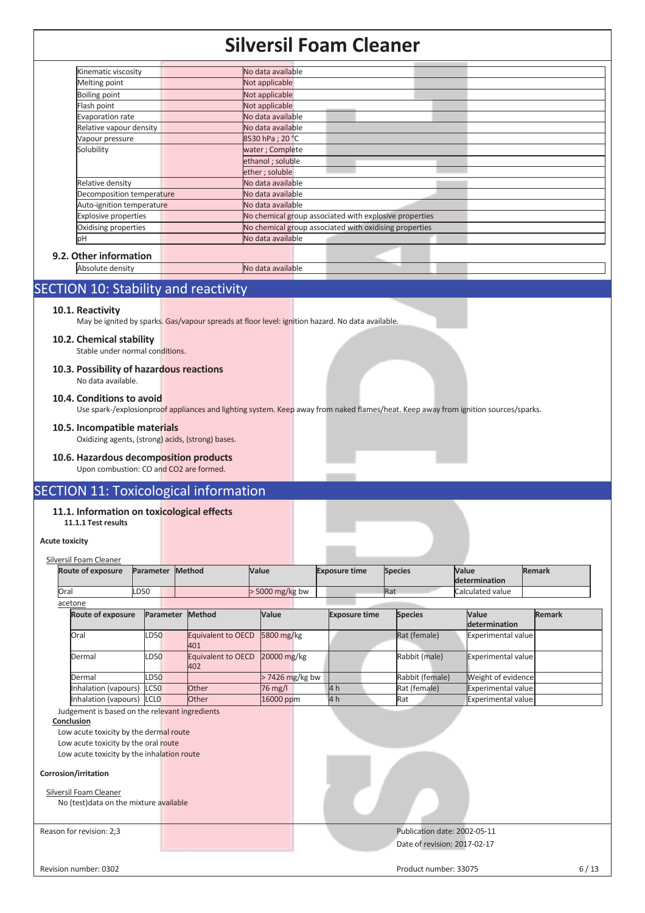| Kinematic viscosity         | No data available                                      |
|-----------------------------|--------------------------------------------------------|
| Melting point               | Not applicable                                         |
| <b>Boiling point</b>        | Not applicable                                         |
| Flash point                 | Not applicable                                         |
| Evaporation rate            | No data available                                      |
| Relative vapour density     | No data available                                      |
| Vapour pressure             | 8530 hPa; 20 °C                                        |
| Solubility                  | water; Complete                                        |
|                             | ethanol; soluble                                       |
|                             | ether; soluble                                         |
| Relative density            | No data available                                      |
| Decomposition temperature   | No data available                                      |
| Auto-ignition temperature   | No data available                                      |
| <b>Explosive properties</b> | No chemical group associated with explosive properties |
| Oxidising properties        | No chemical group associated with oxidising properties |
| þН                          | No data available                                      |

# **9.2. Other information**

Absolute density No data available

# SECTION 10: Stability and reactivity

## **10.1. Reactivity**

May be ignited by sparks. Gas/vapour spreads at floor level: ignition hazard. No data available.

# **10.2. Chemical stability**

Stable under normal conditions.

### **10.3. Possibility of hazardous reactions**  No data available.

### **10.4. Conditions to avoid**

Use spark-/explosionproof appliances and lighting system. Keep away from naked flames/heat. Keep away from ignition sources/sparks.

### **10.5. Incompatible materials**

Oxidizing agents, (strong) acids, (strong) bases.

# **10.6. Hazardous decomposition products**

Upon combustion: CO and CO2 are formed.

# SECTION 11: Toxicological information

## **11.1. Information on toxicological effects**

**11.1.1 Test results** 

# **Acute toxicity**

|      | Silversil Foam Cleaner   |                  |           |                    |                       |                      |                |                        |               |
|------|--------------------------|------------------|-----------|--------------------|-----------------------|----------------------|----------------|------------------------|---------------|
|      | <b>Route of exposure</b> | Parameter Method |           |                    | Value                 | <b>Exposure time</b> | <b>Species</b> | Value<br>determination | <b>Remark</b> |
| Oral |                          | LD50             |           |                    | $\cdot$ 5000 mg/kg bw |                      | Rat            | Calculated value       |               |
|      | acetone                  |                  |           |                    |                       |                      |                |                        |               |
|      | <b>Route of exposure</b> |                  | Parameter | Method             | <b>Value</b>          | <b>Exposure time</b> | <b>Species</b> | <b>Value</b>           | <b>Remark</b> |
|      |                          |                  |           |                    |                       |                      |                | determination          |               |
|      | <b>Oral</b>              | <b>D50</b>       |           | Equivalent to OECD | 5800 mg/kg            |                      | Rat (female)   | Experimental value     |               |

|                           |             | 401                                   |                   |      |                 |                           |  |
|---------------------------|-------------|---------------------------------------|-------------------|------|-----------------|---------------------------|--|
| Dermal                    | <b>LD50</b> | Equivalent to OECD 20000 mg/kg<br>402 |                   |      | Rabbit (male)   | Experimental value        |  |
| Dermal                    | LD50        |                                       | $> 7426$ mg/kg bw |      | Rabbit (female) | Weight of evidence        |  |
| Inhalation (vapours) LC50 |             | Other                                 | 76 mg/l           | 4h   | Rat (female)    | <b>Experimental value</b> |  |
| Inhalation (vapours) LCLO |             | Other                                 | 16000 ppm         | 14 h | <b>Rat</b>      | Experimental value        |  |

Judgement is based on the relevant ingredients

# **Conclusion**

Low acute toxicity by the dermal route Low acute toxicity by the oral route Low acute toxicity by the inhalation route

#### **Corrosion/irritation**

| Silversil Foam Cleaner                  |  |
|-----------------------------------------|--|
| No (test) data on the mixture available |  |
|                                         |  |

# Reason for revision: 2;3 Publication date: 2002-05-11 Date of revision: 2017-02-17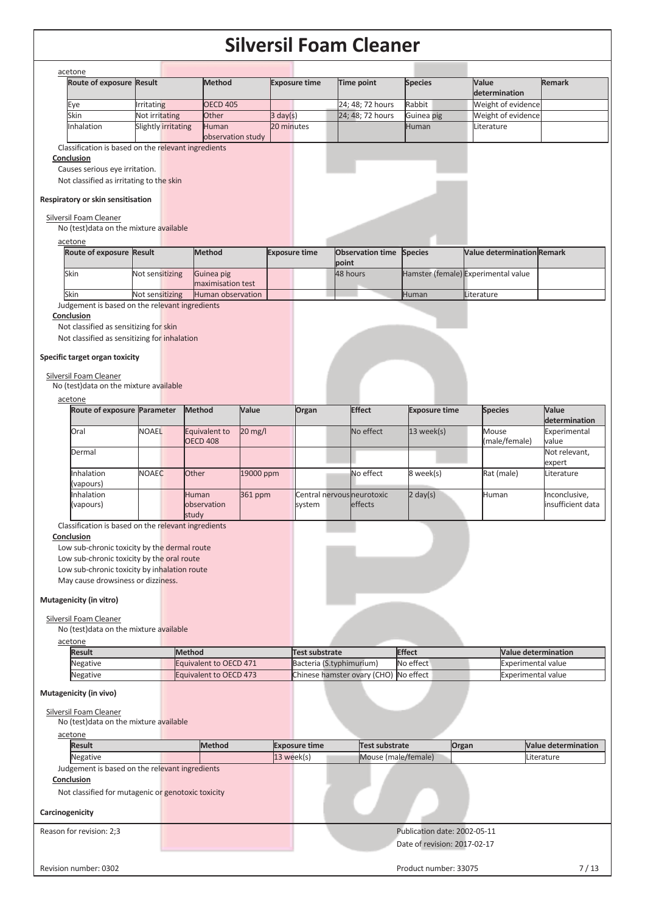| Route of exposure Result                                                                   |                                              |                                  |           |                      |                      |                                       |                              |                                     |                                    |
|--------------------------------------------------------------------------------------------|----------------------------------------------|----------------------------------|-----------|----------------------|----------------------|---------------------------------------|------------------------------|-------------------------------------|------------------------------------|
|                                                                                            |                                              | Method                           |           | <b>Exposure time</b> |                      | Time point                            | <b>Species</b>               | Value<br>determination              | <b>Remark</b>                      |
| Eye                                                                                        | <b>Irritating</b>                            | <b>OECD 405</b>                  |           |                      |                      | 24; 48; 72 hours                      | Rabbit                       | Weight of evidence                  |                                    |
| Skin                                                                                       | Not irritating                               | Other                            |           | $3 \text{ day}(s)$   |                      | 24; 48; 72 hours                      | Guinea pig                   | Weight of evidence                  |                                    |
| Inhalation                                                                                 | Slightly irritating                          | Human<br>observation study       |           | 20 minutes           |                      |                                       | Human                        | Literature                          |                                    |
| Classification is based on the relevant ingredients                                        |                                              |                                  |           |                      |                      |                                       |                              |                                     |                                    |
| Conclusion                                                                                 |                                              |                                  |           |                      |                      |                                       |                              |                                     |                                    |
| Causes serious eye irritation.                                                             |                                              |                                  |           |                      |                      |                                       |                              |                                     |                                    |
| Not classified as irritating to the skin                                                   |                                              |                                  |           |                      |                      |                                       |                              |                                     |                                    |
| Respiratory or skin sensitisation                                                          |                                              |                                  |           |                      |                      |                                       |                              |                                     |                                    |
| Silversil Foam Cleaner                                                                     |                                              |                                  |           |                      |                      |                                       |                              |                                     |                                    |
| No (test) data on the mixture available                                                    |                                              |                                  |           |                      |                      |                                       |                              |                                     |                                    |
| acetone                                                                                    |                                              |                                  |           |                      |                      |                                       |                              |                                     |                                    |
| Route of exposure Result                                                                   |                                              | <b>Method</b>                    |           | <b>Exposure time</b> |                      | Observation time Species              |                              | <b>Value determination Remark</b>   |                                    |
| Skin                                                                                       | Not sensitizing                              | Guinea pig                       |           |                      |                      | point<br>48 hours                     |                              | Hamster (female) Experimental value |                                    |
|                                                                                            |                                              | maximisation test                |           |                      |                      |                                       |                              |                                     |                                    |
| Skin                                                                                       | Not sensitizing                              | Human observation                |           |                      |                      |                                       | Human                        | Literature                          |                                    |
| Judgement is based on the relevant ingredients                                             |                                              |                                  |           |                      |                      |                                       |                              |                                     |                                    |
| Conclusion                                                                                 |                                              |                                  |           |                      |                      |                                       |                              |                                     |                                    |
| Not classified as sensitizing for skin<br>Not classified as sensitizing for inhalation     |                                              |                                  |           |                      |                      |                                       |                              |                                     |                                    |
|                                                                                            |                                              |                                  |           |                      |                      |                                       |                              |                                     |                                    |
| Specific target organ toxicity                                                             |                                              |                                  |           |                      |                      |                                       |                              |                                     |                                    |
| Silversil Foam Cleaner                                                                     |                                              |                                  |           |                      |                      |                                       |                              |                                     |                                    |
| No (test) data on the mixture available                                                    |                                              |                                  |           |                      |                      |                                       |                              |                                     |                                    |
| acetone                                                                                    |                                              |                                  |           |                      |                      |                                       |                              |                                     |                                    |
| Route of exposure Parameter                                                                |                                              | Method                           | Value     |                      | Organ                | <b>Effect</b>                         | <b>Exposure time</b>         | <b>Species</b>                      | Value                              |
|                                                                                            |                                              |                                  |           |                      |                      |                                       |                              |                                     | determination                      |
| Oral                                                                                       | <b>NOAEL</b>                                 | Equivalent to<br><b>OECD 408</b> | 20 mg/l   |                      |                      | No effect                             | $13$ week(s)                 | Mouse<br>(male/female)              | Experimental<br>value              |
| Dermal                                                                                     |                                              |                                  |           |                      |                      |                                       |                              |                                     | Not relevant,                      |
|                                                                                            |                                              |                                  |           |                      |                      |                                       |                              |                                     | expert                             |
| Inhalation                                                                                 | <b>NOAEC</b>                                 | Other                            | 19000 ppm |                      |                      | No effect                             | 8 week(s)                    | Rat (male)                          | Literature                         |
| (vapours)                                                                                  |                                              |                                  |           |                      |                      |                                       |                              |                                     |                                    |
| Inhalation<br>(vapours)                                                                    |                                              | Human<br>observation             | 361 ppm   |                      | system               | Central nervous neurotoxic<br>effects | $2 \text{ day}(s)$           | Human                               | Inconclusive,<br>insufficient data |
|                                                                                            |                                              | study                            |           |                      |                      |                                       |                              |                                     |                                    |
| Classification is based on the relevant ingredients                                        |                                              |                                  |           |                      |                      |                                       |                              |                                     |                                    |
| <u>Conclusion</u>                                                                          |                                              |                                  |           |                      |                      |                                       |                              |                                     |                                    |
| Low sub-chronic toxicity by the dermal route<br>Low sub-chronic toxicity by the oral route |                                              |                                  |           |                      |                      |                                       |                              |                                     |                                    |
|                                                                                            | Low sub-chronic toxicity by inhalation route |                                  |           |                      |                      |                                       |                              |                                     |                                    |
|                                                                                            |                                              |                                  |           |                      |                      |                                       |                              |                                     |                                    |
| May cause drowsiness or dizziness.                                                         |                                              |                                  |           |                      |                      |                                       |                              |                                     |                                    |
|                                                                                            |                                              |                                  |           |                      |                      |                                       |                              |                                     |                                    |
| Mutagenicity (in vitro)                                                                    |                                              |                                  |           |                      |                      |                                       |                              |                                     |                                    |
| Silversil Foam Cleaner                                                                     |                                              |                                  |           |                      |                      |                                       |                              |                                     |                                    |
| No (test) data on the mixture available                                                    |                                              |                                  |           |                      |                      |                                       |                              |                                     |                                    |
| acetone                                                                                    |                                              |                                  |           |                      |                      |                                       |                              |                                     |                                    |
| Result                                                                                     |                                              | <b>Method</b>                    |           |                      | Test substrate       |                                       | <b>Effect</b>                | <b>Value determination</b>          |                                    |
| Negative                                                                                   |                                              | Equivalent to OECD 471           |           |                      |                      | Bacteria (S.typhimurium)              | No effect                    | <b>Experimental value</b>           |                                    |
| Negative                                                                                   |                                              | Equivalent to OECD 473           |           |                      |                      | Chinese hamster ovary (CHO) No effect |                              | <b>Experimental value</b>           |                                    |
| Mutagenicity (in vivo)                                                                     |                                              |                                  |           |                      |                      |                                       |                              |                                     |                                    |
|                                                                                            |                                              |                                  |           |                      |                      |                                       |                              |                                     |                                    |
| <b>Silversil Foam Cleaner</b><br>No (test) data on the mixture available                   |                                              |                                  |           |                      |                      |                                       |                              |                                     |                                    |
| acetone                                                                                    |                                              |                                  |           |                      |                      |                                       |                              |                                     |                                    |
| <b>Result</b>                                                                              |                                              | <b>Method</b>                    |           |                      | <b>Exposure time</b> | <b>Test substrate</b>                 |                              | Organ                               | <b>Value determination</b>         |
| Negative                                                                                   |                                              |                                  |           | 13 week(s)           |                      | Mouse (male/female)                   |                              |                                     | Literature                         |
| Judgement is based on the relevant ingredients                                             |                                              |                                  |           |                      |                      |                                       |                              |                                     |                                    |
| Conclusion                                                                                 |                                              |                                  |           |                      |                      |                                       |                              |                                     |                                    |
| Not classified for mutagenic or genotoxic toxicity                                         |                                              |                                  |           |                      |                      |                                       |                              |                                     |                                    |
|                                                                                            |                                              |                                  |           |                      |                      |                                       |                              |                                     |                                    |
| Carcinogenicity                                                                            |                                              |                                  |           |                      |                      |                                       |                              |                                     |                                    |
| Reason for revision: 2;3                                                                   |                                              |                                  |           |                      |                      |                                       | Publication date: 2002-05-11 |                                     |                                    |
|                                                                                            |                                              |                                  |           |                      |                      |                                       | Date of revision: 2017-02-17 |                                     |                                    |
|                                                                                            |                                              |                                  |           |                      |                      |                                       |                              |                                     |                                    |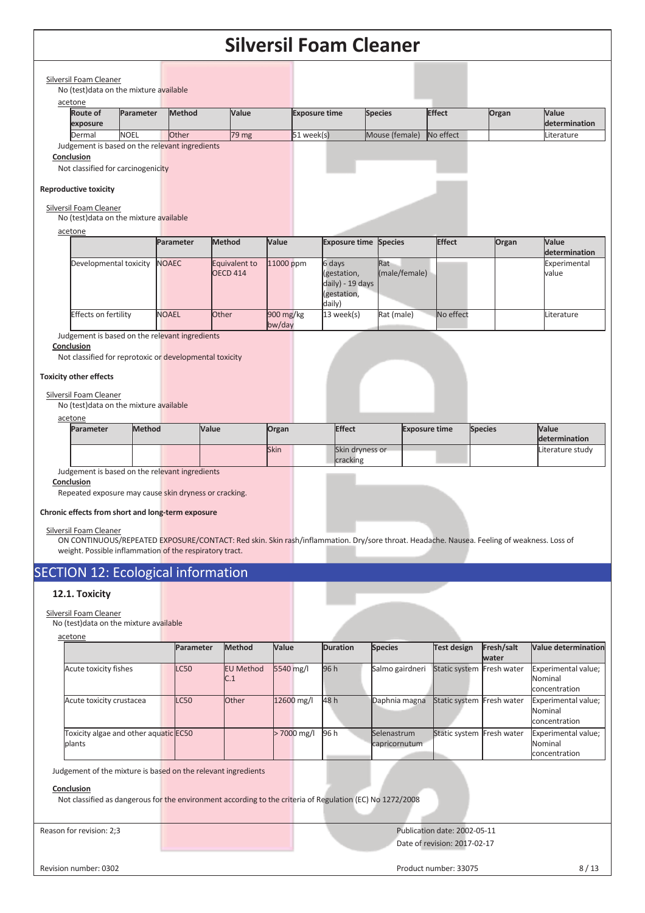| acetone                                                                                                                                                                                                                                                                | No (test) data on the mixture available                           |           |               |                 |                  |                     |                          |                                                                                                                                            |                      |                      |                                |                      |                                                 |
|------------------------------------------------------------------------------------------------------------------------------------------------------------------------------------------------------------------------------------------------------------------------|-------------------------------------------------------------------|-----------|---------------|-----------------|------------------|---------------------|--------------------------|--------------------------------------------------------------------------------------------------------------------------------------------|----------------------|----------------------|--------------------------------|----------------------|-------------------------------------------------|
| <b>Route of</b><br>exposure                                                                                                                                                                                                                                            |                                                                   | Parameter | <b>Method</b> |                 | Value            |                     | <b>Exposure time</b>     |                                                                                                                                            | <b>Species</b>       |                      | <b>Effect</b>                  | Organ                | Value<br>determination                          |
| Dermal                                                                                                                                                                                                                                                                 | <b>NOEL</b>                                                       |           | Other         |                 | 79 mg            |                     | 51 week(s)               |                                                                                                                                            | Mouse (female)       |                      | No effect                      |                      | Literature                                      |
| Judgement is based on the relevant ingredients<br>Conclusion<br>Not classified for carcinogenicity<br><b>Reproductive toxicity</b>                                                                                                                                     |                                                                   |           |               |                 |                  |                     |                          |                                                                                                                                            |                      |                      |                                |                      |                                                 |
| <b>Silversil Foam Cleaner</b>                                                                                                                                                                                                                                          |                                                                   |           |               |                 |                  |                     |                          |                                                                                                                                            |                      |                      |                                |                      |                                                 |
| No (test) data on the mixture available                                                                                                                                                                                                                                |                                                                   |           |               |                 |                  |                     |                          |                                                                                                                                            |                      |                      |                                |                      |                                                 |
| acetone                                                                                                                                                                                                                                                                |                                                                   |           | Parameter     | <b>Method</b>   |                  | Value               |                          | <b>Exposure time</b>                                                                                                                       | <b>Species</b>       |                      | <b>Effect</b>                  | Organ                | Value                                           |
|                                                                                                                                                                                                                                                                        |                                                                   |           |               |                 |                  |                     |                          |                                                                                                                                            |                      |                      |                                |                      | determination                                   |
|                                                                                                                                                                                                                                                                        | Developmental toxicity                                            |           | <b>NOAEC</b>  | <b>OECD 414</b> | Equivalent to    | 11000 ppm           |                          | 6 days<br>(gestation,<br>daily) - 19 days<br>(gestation,<br>daily)                                                                         | Rat<br>(male/female) |                      |                                |                      | Experimental<br>value                           |
|                                                                                                                                                                                                                                                                        | <b>Effects on fertility</b>                                       |           | <b>NOAEL</b>  | Other           |                  | 900 mg/kg<br>bw/day |                          | 13 week(s)                                                                                                                                 | Rat (male)           |                      | No effect                      |                      | Literature                                      |
| Not classified for reprotoxic or developmental toxicity                                                                                                                                                                                                                |                                                                   |           |               |                 |                  |                     |                          |                                                                                                                                            |                      |                      |                                |                      |                                                 |
| <b>Toxicity other effects</b><br>Silversil Foam Cleaner<br>No (test) data on the mixture available<br>acetone                                                                                                                                                          |                                                                   |           |               |                 |                  |                     |                          |                                                                                                                                            |                      |                      |                                |                      |                                                 |
| Parameter                                                                                                                                                                                                                                                              |                                                                   | Method    |               | Value           |                  | Organ               |                          | <b>Effect</b>                                                                                                                              |                      | <b>Exposure time</b> |                                | <b>Species</b>       | Value<br>determination                          |
|                                                                                                                                                                                                                                                                        |                                                                   |           |               |                 |                  | <b>Skin</b>         |                          | Skin dryness or<br>cracking                                                                                                                |                      |                      |                                |                      | Literature study                                |
| Judgement is based on the relevant ingredients<br>Conclusion<br>Repeated exposure may cause skin dryness or cracking.<br>Chronic effects from short and long-term exposure<br><b>Silversil Foam Cleaner</b><br>weight. Possible inflammation of the respiratory tract. |                                                                   |           |               |                 |                  |                     |                          | ON CONTINUOUS/REPEATED EXPOSURE/CONTACT: Red skin. Skin rash/inflammation. Dry/sore throat. Headache. Nausea. Feeling of weakness. Loss of |                      |                      |                                |                      |                                                 |
| <b>SECTION 12: Ecological information</b>                                                                                                                                                                                                                              |                                                                   |           |               |                 |                  |                     |                          |                                                                                                                                            |                      |                      |                                |                      |                                                 |
| 12.1. Toxicity                                                                                                                                                                                                                                                         |                                                                   |           |               |                 |                  |                     |                          |                                                                                                                                            |                      |                      |                                |                      |                                                 |
| <b>Silversil Foam Cleaner</b><br>No (test) data on the mixture available                                                                                                                                                                                               |                                                                   |           |               |                 |                  |                     |                          |                                                                                                                                            |                      |                      |                                |                      |                                                 |
| acetone                                                                                                                                                                                                                                                                |                                                                   |           | Parameter     |                 | <b>Method</b>    | Value               |                          | <b>Duration</b>                                                                                                                            | <b>Species</b>       |                      | <b>Test design</b>             | Fresh/salt           | Value determination                             |
| Acute toxicity fishes                                                                                                                                                                                                                                                  |                                                                   |           | <b>LC50</b>   | C.1             | <b>EU Method</b> | 5540 mg/l           |                          | 96 h                                                                                                                                       | Salmo gairdneri      |                      | Static system                  | water<br>Fresh water | Experimental value;<br>Nominal<br>concentration |
|                                                                                                                                                                                                                                                                        | Acute toxicity crustacea<br>Toxicity algae and other aquatic EC50 |           | LC50          |                 | Other            |                     | 12600 mg/l<br>>7000 mg/l | 48 h                                                                                                                                       | Daphnia magna        |                      | Static system<br>Static system | Fresh water          | Experimental value;<br>Nominal<br>concentration |

Reason for revision: 2;3 **Publication date: 2002-05-11** Publication date: 2002-05-11 Date of revision: 2017-02-17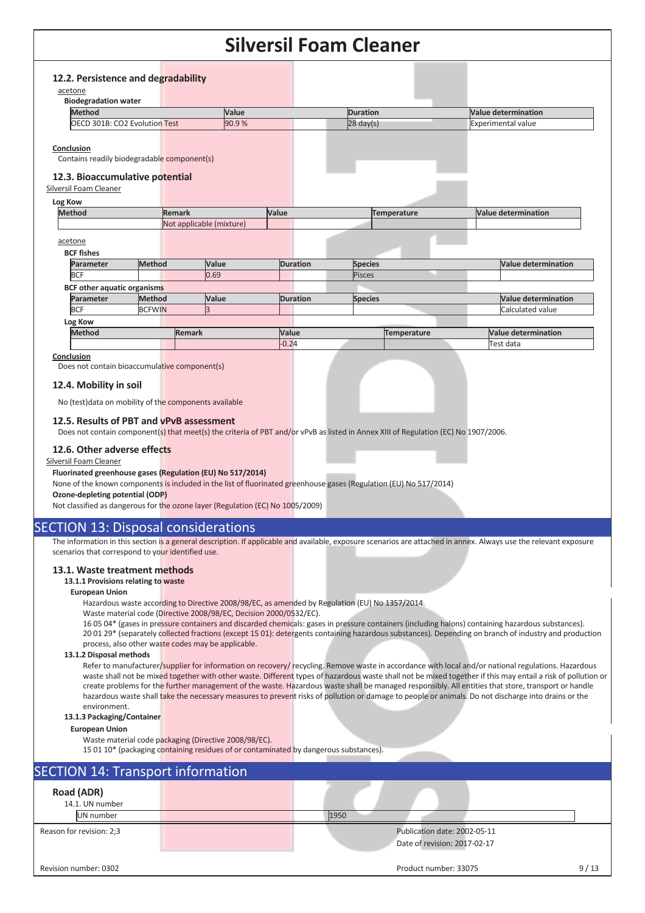|         | 12.2. Persistence and degradability         |               |                          |       |       |                 |                 |                           |  |                            |
|---------|---------------------------------------------|---------------|--------------------------|-------|-------|-----------------|-----------------|---------------------------|--|----------------------------|
|         | acetone                                     |               |                          |       |       |                 |                 |                           |  |                            |
|         | <b>Biodegradation water</b>                 |               |                          |       |       |                 |                 |                           |  |                            |
|         | <b>Method</b>                               |               |                          | Value |       |                 | <b>Duration</b> |                           |  | Value determination        |
|         | OECD 301B: CO2 Evolution Test               |               | 90.9%                    |       |       | $28$ day(s)     |                 | <b>Experimental value</b> |  |                            |
|         |                                             |               |                          |       |       |                 |                 |                           |  |                            |
|         | Conclusion                                  |               |                          |       |       |                 |                 |                           |  |                            |
|         | Contains readily biodegradable component(s) |               |                          |       |       |                 |                 |                           |  |                            |
|         |                                             |               |                          |       |       |                 |                 |                           |  |                            |
|         | 12.3. Bioaccumulative potential             |               |                          |       |       |                 |                 |                           |  |                            |
|         | Silversil Foam Cleaner                      |               |                          |       |       |                 |                 |                           |  |                            |
| Log Kow |                                             |               |                          |       |       |                 |                 |                           |  |                            |
|         | <b>Method</b>                               |               | <b>Remark</b>            |       | Value |                 |                 | Temperature               |  | Value determination        |
|         |                                             |               | Not applicable (mixture) |       |       |                 |                 |                           |  |                            |
|         | acetone                                     |               |                          |       |       |                 |                 |                           |  |                            |
|         | <b>BCF fishes</b>                           |               |                          |       |       |                 |                 |                           |  |                            |
|         |                                             | Method        | Value                    |       |       |                 |                 |                           |  | <b>Value determination</b> |
|         | Parameter                                   |               |                          |       |       | <b>Duration</b> | <b>Species</b>  |                           |  |                            |
|         | <b>BCF</b>                                  |               | 0.69                     |       |       |                 | Pisces          |                           |  |                            |
|         | <b>BCF other aquatic organisms</b>          |               |                          |       |       |                 |                 |                           |  |                            |
|         | Parameter                                   | Method        | Value                    |       |       | <b>Duration</b> | <b>Species</b>  |                           |  | Value determination        |
|         | <b>BCF</b>                                  | <b>BCFWIN</b> | k.                       |       |       |                 |                 |                           |  | Calculated value           |
|         | Log Kow                                     |               |                          |       |       |                 |                 |                           |  |                            |
|         | <b>Method</b>                               |               | <b>Remark</b>            |       | Value |                 |                 | Temperature               |  | Value determination        |
|         |                                             |               |                          |       |       |                 |                 |                           |  |                            |

#### **Conclusion**

Does not contain bioaccumulative component(s)

## **12.4. Mobility in soil**

No (test)data on mobility of the components available

## **12.5. Results of PBT and vPvB assessment**

Does not contain component(s) that meet(s) the criteria of PBT and/or vPvB as listed in Annex XIII of Regulation (EC) No 1907/2006.

#### **12.6. Other adverse effects**

### Silversil Foam Cleaner

### **Fluorinated greenhouse gases (Regulation (EU) No 517/2014)**

None of the known components is included in the list of fluorinated greenhouse gases (Regulation (EU) No 517/2014)

### **Ozone-depleting potential (ODP)**  Not classified as dangerous for the ozone layer (Regulation (EC) No 1005/2009)

# SECTION 13: Disposal considerations

The information in this section is a general description. If applicable and available, exposure scenarios are attached in annex. Always use the relevant exposure scenarios that correspond to your identified use.

# **13.1. Waste treatment methods**

## **13.1.1 Provisions relating to waste**

## **European Union**

Hazardous waste according to Directive 2008/98/EC, as amended by Regulation (EU) No 1357/2014.

Waste material code (Directive 2008/98/EC, Decision 2000/0532/EC).

16 05 04\* (gases in pressure containers and discarded chemicals: gases in pressure containers (including halons) containing hazardous substances). 20 01 29\* (separately collected fractions (except 15 01): detergents containing hazardous substances). Depending on branch of industry and production process, also other waste codes may be applicable.

#### **13.1.2 Disposal methods**

Refer to manufacturer/supplier for information on recovery/ recycling. Remove waste in accordance with local and/or national regulations. Hazardous waste shall not be mixed together with other waste. Different types of hazardous waste shall not be mixed together if this may entail a risk of pollution or create problems for the further management of the waste. Hazardous waste shall be managed responsibly. All entities that store, transport or handle hazardous waste shall take the necessary measures to prevent risks of pollution or damage to people or animals. Do not discharge into drains or the environment.

### **13.1.3 Packaging/Container**

#### **European Union**

Waste material code packaging (Directive 2008/98/EC).

15 01 10\* (packaging containing residues of or contaminated by dangerous substances).

| <b>SECTION 14: Transport information</b> |      |                                                              |      |
|------------------------------------------|------|--------------------------------------------------------------|------|
| Road (ADR)<br>14.1. UN number            |      |                                                              |      |
| UN number                                | 1950 |                                                              |      |
| Reason for revision: 2;3                 |      | Publication date: 2002-05-11<br>Date of revision: 2017-02-17 |      |
| Revision number: 0302                    |      | Product number: 33075                                        | 9/13 |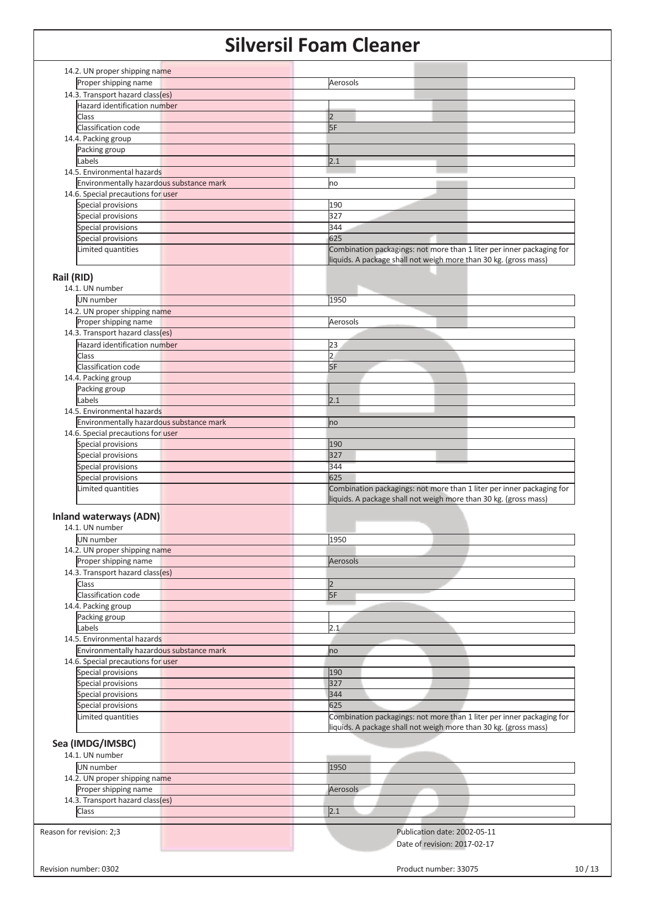| 14.2. UN proper shipping name<br>Proper shipping name | Aerosols                                                              |
|-------------------------------------------------------|-----------------------------------------------------------------------|
|                                                       |                                                                       |
| 14.3. Transport hazard class(es)                      |                                                                       |
| Hazard identification number                          |                                                                       |
| Class                                                 | l2                                                                    |
| Classification code                                   | 5F                                                                    |
| 14.4. Packing group                                   |                                                                       |
| Packing group                                         |                                                                       |
| Labels                                                | 2.1                                                                   |
| 14.5. Environmental hazards                           |                                                                       |
| Environmentally hazardous substance mark              | no                                                                    |
| 14.6. Special precautions for user                    |                                                                       |
| Special provisions                                    | 190                                                                   |
| Special provisions                                    | 327                                                                   |
| Special provisions                                    | 344                                                                   |
| Special provisions                                    | 625                                                                   |
| Limited quantities                                    | Combination packagings: not more than 1 liter per inner packaging for |
|                                                       | liquids. A package shall not weigh more than 30 kg. (gross mass)      |
|                                                       |                                                                       |
| Rail (RID)                                            |                                                                       |
| 14.1. UN number                                       |                                                                       |
| UN number                                             | 1950                                                                  |
| 14.2. UN proper shipping name                         |                                                                       |
| Proper shipping name                                  | Aerosols                                                              |
| 14.3. Transport hazard class(es)                      |                                                                       |
| Hazard identification number                          | 23                                                                    |
| Class                                                 | $\overline{2}$                                                        |
| Classification code                                   | 5F                                                                    |
| 14.4. Packing group                                   |                                                                       |
| Packing group                                         |                                                                       |
| Labels                                                | 2.1                                                                   |
| 14.5. Environmental hazards                           |                                                                       |
| Environmentally hazardous substance mark              |                                                                       |
|                                                       | no                                                                    |
| 14.6. Special precautions for user                    |                                                                       |
| Special provisions                                    | 190                                                                   |
| Special provisions                                    | 327                                                                   |
| Special provisions                                    | 344                                                                   |
| Special provisions                                    | 625                                                                   |
| Limited quantities                                    | Combination packagings: not more than 1 liter per inner packaging for |
|                                                       | liquids. A package shall not weigh more than 30 kg. (gross mass)      |
| <b>Inland waterways (ADN)</b>                         |                                                                       |
| 14.1. UN number                                       |                                                                       |
|                                                       |                                                                       |
| UN number                                             | 1950                                                                  |
| 14.2. UN proper shipping name                         |                                                                       |
| Proper shipping name                                  | Aerosols                                                              |
| 14.3. Transport hazard class(es)                      |                                                                       |
| Class                                                 | $\overline{2}$                                                        |
| Classification code                                   | 5F                                                                    |
|                                                       |                                                                       |
| 14.4. Packing group                                   |                                                                       |
| Packing group                                         |                                                                       |
| Labels                                                | 2.1                                                                   |
| 14.5. Environmental hazards                           |                                                                       |
|                                                       |                                                                       |
| Environmentally hazardous substance mark              | no                                                                    |
| 14.6. Special precautions for user                    |                                                                       |
| Special provisions                                    | 190                                                                   |
| Special provisions                                    | 327                                                                   |
| Special provisions                                    | 344                                                                   |
| Special provisions                                    | 625                                                                   |
| Limited quantities                                    | Combination packagings: not more than 1 liter per inner packaging for |
|                                                       | liquids. A package shall not weigh more than 30 kg. (gross mass)      |
|                                                       |                                                                       |
| Sea (IMDG/IMSBC)                                      |                                                                       |
| 14.1. UN number                                       |                                                                       |
| UN number                                             | 1950                                                                  |
| 14.2. UN proper shipping name                         |                                                                       |
| Proper shipping name                                  | Aerosols                                                              |
| 14.3. Transport hazard class(es)                      |                                                                       |
| Class                                                 | 2.1                                                                   |
|                                                       |                                                                       |
| Reason for revision: 2;3                              | Publication date: 2002-05-11                                          |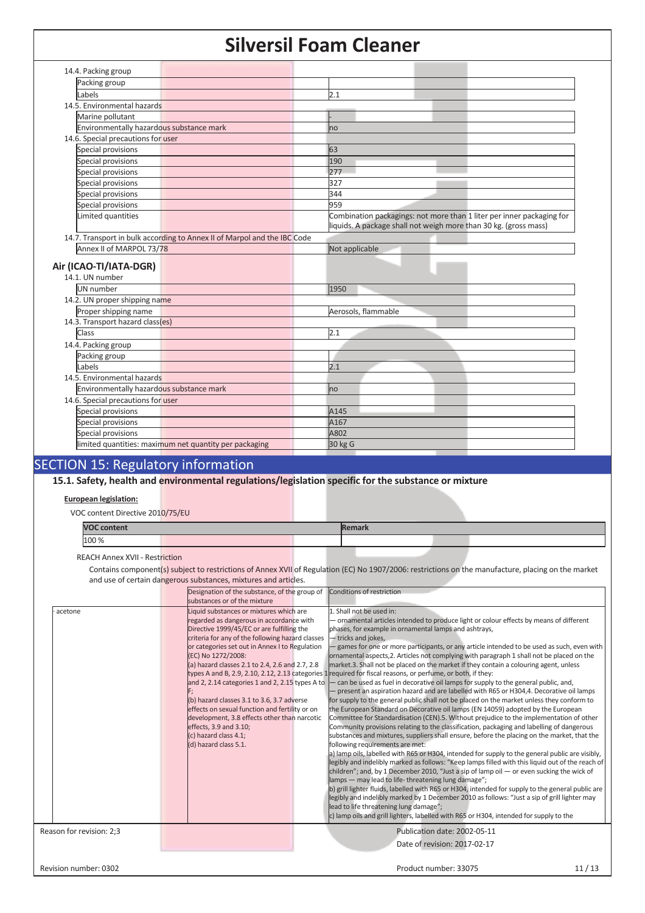| Packing group                                                            |                                                                                                                                           |
|--------------------------------------------------------------------------|-------------------------------------------------------------------------------------------------------------------------------------------|
| Labels                                                                   | 2.1                                                                                                                                       |
| 14.5. Environmental hazards                                              |                                                                                                                                           |
| Marine pollutant                                                         |                                                                                                                                           |
| Environmentally hazardous substance mark                                 | no                                                                                                                                        |
| 14.6. Special precautions for user                                       |                                                                                                                                           |
| Special provisions                                                       | 63                                                                                                                                        |
| Special provisions                                                       | 190                                                                                                                                       |
| Special provisions                                                       | 277                                                                                                                                       |
| Special provisions                                                       | 327                                                                                                                                       |
| Special provisions                                                       | 344                                                                                                                                       |
| Special provisions                                                       | 959                                                                                                                                       |
| Limited quantities                                                       | Combination packagings: not more than 1 liter per inner packaging for<br>liquids. A package shall not weigh more than 30 kg. (gross mass) |
| 14.7. Transport in bulk according to Annex II of Marpol and the IBC Code |                                                                                                                                           |
| Annex II of MARPOL 73/78                                                 | Not applicable                                                                                                                            |
| Air (ICAO-TI/IATA-DGR)<br>14.1. UN number                                |                                                                                                                                           |
|                                                                          |                                                                                                                                           |
| UN number                                                                | 1950                                                                                                                                      |
| 14.2. UN proper shipping name                                            |                                                                                                                                           |
| Proper shipping name                                                     | Aerosols, flammable                                                                                                                       |
| 14.3. Transport hazard class(es)                                         |                                                                                                                                           |
| <b>Class</b>                                                             | 2.1                                                                                                                                       |
| 14.4. Packing group                                                      |                                                                                                                                           |
| Packing group                                                            |                                                                                                                                           |
| Labels                                                                   | 2.1                                                                                                                                       |
| 14.5. Environmental hazards                                              |                                                                                                                                           |
| Environmentally hazardous substance mark                                 | no                                                                                                                                        |
| 14.6. Special precautions for user                                       |                                                                                                                                           |
| Special provisions                                                       | A145<br>A167                                                                                                                              |
| Special provisions<br>Special provisions                                 | A802                                                                                                                                      |

# **15.1. Safety, health and environmental regulations/legislation specific for the substance or mixture**

## **European legislation:**

VOC content Directive 2010/75/EU

| <b>VOC content</b> |  |  | Remark |  |  |
|--------------------|--|--|--------|--|--|
| 100 %              |  |  |        |  |  |
|                    |  |  |        |  |  |

REACH Annex XVII - Restriction

 Contains component(s) subject to restrictions of Annex XVII of Regulation (EC) No 1907/2006: restrictions on the manufacture, placing on the market and use of certain dangerous substances, mixtures and articles.

|                          | Designation of the substance, of the group of Conditions of restriction<br>substances or of the mixture                                                                                                                                                                                                                                                                                                                                                                                                                                                                                                                                              |                                                                                                                                                                                                                                                                                                                                                                                                                                                                                                                                                                                                                                                                                                                                                                                                                                                                                                                                                                                                                                                                                                                                                                                                                                                                                                                                                                                                                                                                                                                                                                                                                                                                                                                                                                                                                                                                                                                                                    |
|--------------------------|------------------------------------------------------------------------------------------------------------------------------------------------------------------------------------------------------------------------------------------------------------------------------------------------------------------------------------------------------------------------------------------------------------------------------------------------------------------------------------------------------------------------------------------------------------------------------------------------------------------------------------------------------|----------------------------------------------------------------------------------------------------------------------------------------------------------------------------------------------------------------------------------------------------------------------------------------------------------------------------------------------------------------------------------------------------------------------------------------------------------------------------------------------------------------------------------------------------------------------------------------------------------------------------------------------------------------------------------------------------------------------------------------------------------------------------------------------------------------------------------------------------------------------------------------------------------------------------------------------------------------------------------------------------------------------------------------------------------------------------------------------------------------------------------------------------------------------------------------------------------------------------------------------------------------------------------------------------------------------------------------------------------------------------------------------------------------------------------------------------------------------------------------------------------------------------------------------------------------------------------------------------------------------------------------------------------------------------------------------------------------------------------------------------------------------------------------------------------------------------------------------------------------------------------------------------------------------------------------------------|
| acetone                  | Liquid substances or mixtures which are<br>regarded as dangerous in accordance with<br>Directive 1999/45/EC or are fulfilling the<br>criteria for any of the following hazard classes<br>or categories set out in Annex I to Regulation<br>(EC) No 1272/2008:<br>(a) hazard classes 2.1 to 2.4, 2.6 and 2.7, 2.8<br>types A and B, 2.9, 2.10, 2.12, 2.13 categories 1<br>and 2, 2.14 categories 1 and 2, 2.15 types A to<br>(b) hazard classes 3.1 to 3.6, 3.7 adverse<br>effects on sexual function and fertility or on<br>development, 3.8 effects other than narcotic<br>effects, 3.9 and 3.10;<br>(c) hazard class 4.1;<br>(d) hazard class 5.1. | 1. Shall not be used in:<br>ornamental articles intended to produce light or colour effects by means of different<br>phases, for example in ornamental lamps and ashtrays,<br>- tricks and jokes,<br>games for one or more participants, or any article intended to be used as such, even with<br>ornamental aspects, 2. Articles not complying with paragraph 1 shall not be placed on the<br>market.3. Shall not be placed on the market if they contain a colouring agent, unless<br>required for fiscal reasons, or perfume, or both, if they:<br>can be used as fuel in decorative oil lamps for supply to the general public, and,<br>present an aspiration hazard and are labelled with R65 or H304,4. Decorative oil lamps<br>for supply to the general public shall not be placed on the market unless they conform to<br>the European Standard on Decorative oil lamps (EN 14059) adopted by the European<br>Committee for Standardisation (CEN).5. Without prejudice to the implementation of other<br>Community provisions relating to the classification, packaging and labelling of dangerous<br>substances and mixtures, suppliers shall ensure, before the placing on the market, that the<br>following requirements are met:<br>a) lamp oils, labelled with R65 or H304, intended for supply to the general public are visibly,<br>legibly and indelibly marked as follows: "Keep lamps filled with this liguid out of the reach of<br>children"; and, by 1 December 2010, "Just a sip of lamp oil $-$ or even sucking the wick of<br>lamps - may lead to life-threatening lung damage";<br>b) grill lighter fluids, labelled with R65 or H304, intended for supply to the general public are<br>legibly and indelibly marked by 1 December 2010 as follows: "Just a sip of grill lighter may<br>lead to life threatening lung damage";<br>c) lamp oils and grill lighters, labelled with R65 or H304, intended for supply to the |
| Reason for revision: 2;3 |                                                                                                                                                                                                                                                                                                                                                                                                                                                                                                                                                                                                                                                      | Publication date: 2002-05-11                                                                                                                                                                                                                                                                                                                                                                                                                                                                                                                                                                                                                                                                                                                                                                                                                                                                                                                                                                                                                                                                                                                                                                                                                                                                                                                                                                                                                                                                                                                                                                                                                                                                                                                                                                                                                                                                                                                       |
| Revision number: 0302    |                                                                                                                                                                                                                                                                                                                                                                                                                                                                                                                                                                                                                                                      | Date of revision: 2017-02-17<br>Product number: 33075<br>11/13                                                                                                                                                                                                                                                                                                                                                                                                                                                                                                                                                                                                                                                                                                                                                                                                                                                                                                                                                                                                                                                                                                                                                                                                                                                                                                                                                                                                                                                                                                                                                                                                                                                                                                                                                                                                                                                                                     |
|                          |                                                                                                                                                                                                                                                                                                                                                                                                                                                                                                                                                                                                                                                      |                                                                                                                                                                                                                                                                                                                                                                                                                                                                                                                                                                                                                                                                                                                                                                                                                                                                                                                                                                                                                                                                                                                                                                                                                                                                                                                                                                                                                                                                                                                                                                                                                                                                                                                                                                                                                                                                                                                                                    |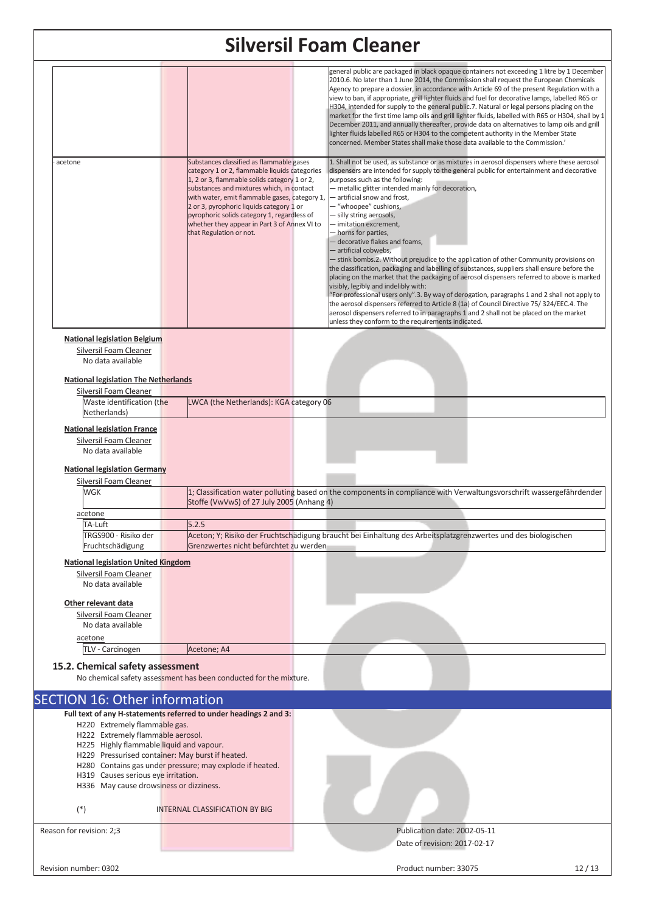|                          |                                                                                                                                                    | <b>Silversil Foam Cleaner</b>                                                                                                                                                                                                                                                                                                                                                                                 |                                                                                                                                                                                                                                                                                                                                                                                                                                                                                                                                                                                                                                                                                                                                                                                                                                                                                                                                                                                                                                                                                                                                                                 |
|--------------------------|----------------------------------------------------------------------------------------------------------------------------------------------------|---------------------------------------------------------------------------------------------------------------------------------------------------------------------------------------------------------------------------------------------------------------------------------------------------------------------------------------------------------------------------------------------------------------|-----------------------------------------------------------------------------------------------------------------------------------------------------------------------------------------------------------------------------------------------------------------------------------------------------------------------------------------------------------------------------------------------------------------------------------------------------------------------------------------------------------------------------------------------------------------------------------------------------------------------------------------------------------------------------------------------------------------------------------------------------------------------------------------------------------------------------------------------------------------------------------------------------------------------------------------------------------------------------------------------------------------------------------------------------------------------------------------------------------------------------------------------------------------|
|                          |                                                                                                                                                    |                                                                                                                                                                                                                                                                                                                                                                                                               | general public are packaged in black opaque containers not exceeding 1 litre by 1 December<br>2010.6. No later than 1 June 2014, the Commission shall request the European Chemicals<br>Agency to prepare a dossier, in accordance with Article 69 of the present Regulation with a<br>view to ban, if appropriate, grill lighter fluids and fuel for decorative lamps, labelled R65 or<br>H304, intended for supply to the general public.7. Natural or legal persons placing on the<br>market for the first time lamp oils and grill lighter fluids, labelled with R65 or H304, shall by 1<br>December 2011, and annually thereafter, provide data on alternatives to lamp oils and grill<br>lighter fluids labelled R65 or H304 to the competent authority in the Member State<br>concerned. Member States shall make those data available to the Commission.'                                                                                                                                                                                                                                                                                               |
| acetone                  |                                                                                                                                                    | Substances classified as flammable gases<br>category 1 or 2, flammable liquids categories<br>1, 2 or 3, flammable solids category 1 or 2,<br>substances and mixtures which, in contact<br>with water, emit flammable gases, category 1,<br>2 or 3, pyrophoric liquids category 1 or<br>pyrophoric solids category 1, regardless of<br>whether they appear in Part 3 of Annex VI to<br>that Regulation or not. | 1. Shall not be used, as substance or as mixtures in aerosol dispensers where these aerosol<br>dispensers are intended for supply to the general public for entertainment and decorative<br>purposes such as the following:<br>- metallic glitter intended mainly for decoration,<br>- artificial snow and frost,<br>- "whoopee" cushions,<br>- silly string aerosols,<br>- imitation excrement,<br>- horns for parties,<br>- decorative flakes and foams,<br>- artificial cobwebs,<br>- stink bombs.2. Without prejudice to the application of other Community provisions on<br>the classification, packaging and labelling of substances, suppliers shall ensure before the<br>placing on the market that the packaging of aerosol dispensers referred to above is marked<br>visibly, legibly and indelibly with:<br>"For professional users only".3. By way of derogation, paragraphs 1 and 2 shall not apply to<br>the aerosol dispensers referred to Article 8 (1a) of Council Directive 75/324/EEC.4. The<br>aerosol dispensers referred to in paragraphs 1 and 2 shall not be placed on the market<br>unless they conform to the requirements indicated. |
|                          | <b>National legislation Belgium</b>                                                                                                                |                                                                                                                                                                                                                                                                                                                                                                                                               |                                                                                                                                                                                                                                                                                                                                                                                                                                                                                                                                                                                                                                                                                                                                                                                                                                                                                                                                                                                                                                                                                                                                                                 |
|                          | Silversil Foam Cleaner<br>No data available<br><b>National legislation The Netherlands</b>                                                         |                                                                                                                                                                                                                                                                                                                                                                                                               |                                                                                                                                                                                                                                                                                                                                                                                                                                                                                                                                                                                                                                                                                                                                                                                                                                                                                                                                                                                                                                                                                                                                                                 |
|                          | Silversil Foam Cleaner<br>Waste identification (the                                                                                                | LWCA (the Netherlands): KGA category 06                                                                                                                                                                                                                                                                                                                                                                       |                                                                                                                                                                                                                                                                                                                                                                                                                                                                                                                                                                                                                                                                                                                                                                                                                                                                                                                                                                                                                                                                                                                                                                 |
|                          | Netherlands)                                                                                                                                       |                                                                                                                                                                                                                                                                                                                                                                                                               |                                                                                                                                                                                                                                                                                                                                                                                                                                                                                                                                                                                                                                                                                                                                                                                                                                                                                                                                                                                                                                                                                                                                                                 |
|                          | <b>National legislation France</b><br>Silversil Foam Cleaner<br>No data available<br><b>National legislation Germany</b><br>Silversil Foam Cleaner |                                                                                                                                                                                                                                                                                                                                                                                                               |                                                                                                                                                                                                                                                                                                                                                                                                                                                                                                                                                                                                                                                                                                                                                                                                                                                                                                                                                                                                                                                                                                                                                                 |
|                          | WGK                                                                                                                                                |                                                                                                                                                                                                                                                                                                                                                                                                               | 1; Classification water polluting based on the components in compliance with Verwaltungsvorschrift wassergefährdender                                                                                                                                                                                                                                                                                                                                                                                                                                                                                                                                                                                                                                                                                                                                                                                                                                                                                                                                                                                                                                           |
|                          | acetone                                                                                                                                            | Stoffe (VwVwS) of 27 July 2005 (Anhang 4)                                                                                                                                                                                                                                                                                                                                                                     |                                                                                                                                                                                                                                                                                                                                                                                                                                                                                                                                                                                                                                                                                                                                                                                                                                                                                                                                                                                                                                                                                                                                                                 |
|                          | TA-Luft                                                                                                                                            | 5.2.5                                                                                                                                                                                                                                                                                                                                                                                                         |                                                                                                                                                                                                                                                                                                                                                                                                                                                                                                                                                                                                                                                                                                                                                                                                                                                                                                                                                                                                                                                                                                                                                                 |
|                          | TRGS900 - Risiko der<br>Fruchtschädigung                                                                                                           | Grenzwertes nicht befürchtet zu werden                                                                                                                                                                                                                                                                                                                                                                        | Aceton; Y; Risiko der Fruchtschädigung braucht bei Einhaltung des Arbeitsplatzgrenzwertes und des biologischen                                                                                                                                                                                                                                                                                                                                                                                                                                                                                                                                                                                                                                                                                                                                                                                                                                                                                                                                                                                                                                                  |
|                          | <b>National legislation United Kingdom</b>                                                                                                         |                                                                                                                                                                                                                                                                                                                                                                                                               |                                                                                                                                                                                                                                                                                                                                                                                                                                                                                                                                                                                                                                                                                                                                                                                                                                                                                                                                                                                                                                                                                                                                                                 |
|                          | Silversil Foam Cleaner<br>No data available                                                                                                        |                                                                                                                                                                                                                                                                                                                                                                                                               |                                                                                                                                                                                                                                                                                                                                                                                                                                                                                                                                                                                                                                                                                                                                                                                                                                                                                                                                                                                                                                                                                                                                                                 |
|                          | Other relevant data                                                                                                                                |                                                                                                                                                                                                                                                                                                                                                                                                               |                                                                                                                                                                                                                                                                                                                                                                                                                                                                                                                                                                                                                                                                                                                                                                                                                                                                                                                                                                                                                                                                                                                                                                 |
|                          | Silversil Foam Cleaner<br>No data available                                                                                                        |                                                                                                                                                                                                                                                                                                                                                                                                               |                                                                                                                                                                                                                                                                                                                                                                                                                                                                                                                                                                                                                                                                                                                                                                                                                                                                                                                                                                                                                                                                                                                                                                 |
|                          | acetone                                                                                                                                            |                                                                                                                                                                                                                                                                                                                                                                                                               |                                                                                                                                                                                                                                                                                                                                                                                                                                                                                                                                                                                                                                                                                                                                                                                                                                                                                                                                                                                                                                                                                                                                                                 |
|                          | TLV - Carcinogen                                                                                                                                   | Acetone; A4                                                                                                                                                                                                                                                                                                                                                                                                   |                                                                                                                                                                                                                                                                                                                                                                                                                                                                                                                                                                                                                                                                                                                                                                                                                                                                                                                                                                                                                                                                                                                                                                 |
|                          | 15.2. Chemical safety assessment                                                                                                                   | No chemical safety assessment has been conducted for the mixture.                                                                                                                                                                                                                                                                                                                                             |                                                                                                                                                                                                                                                                                                                                                                                                                                                                                                                                                                                                                                                                                                                                                                                                                                                                                                                                                                                                                                                                                                                                                                 |
|                          | <b>SECTION 16: Other information</b>                                                                                                               |                                                                                                                                                                                                                                                                                                                                                                                                               |                                                                                                                                                                                                                                                                                                                                                                                                                                                                                                                                                                                                                                                                                                                                                                                                                                                                                                                                                                                                                                                                                                                                                                 |
|                          |                                                                                                                                                    | Full text of any H-statements referred to under headings 2 and 3:                                                                                                                                                                                                                                                                                                                                             |                                                                                                                                                                                                                                                                                                                                                                                                                                                                                                                                                                                                                                                                                                                                                                                                                                                                                                                                                                                                                                                                                                                                                                 |
|                          | H220 Extremely flammable gas.<br>H222 Extremely flammable aerosol.                                                                                 |                                                                                                                                                                                                                                                                                                                                                                                                               |                                                                                                                                                                                                                                                                                                                                                                                                                                                                                                                                                                                                                                                                                                                                                                                                                                                                                                                                                                                                                                                                                                                                                                 |
|                          | H225 Highly flammable liquid and vapour.                                                                                                           |                                                                                                                                                                                                                                                                                                                                                                                                               |                                                                                                                                                                                                                                                                                                                                                                                                                                                                                                                                                                                                                                                                                                                                                                                                                                                                                                                                                                                                                                                                                                                                                                 |
|                          | H229 Pressurised container: May burst if heated.                                                                                                   | H280 Contains gas under pressure; may explode if heated.                                                                                                                                                                                                                                                                                                                                                      |                                                                                                                                                                                                                                                                                                                                                                                                                                                                                                                                                                                                                                                                                                                                                                                                                                                                                                                                                                                                                                                                                                                                                                 |
|                          | H319 Causes serious eye irritation.                                                                                                                |                                                                                                                                                                                                                                                                                                                                                                                                               |                                                                                                                                                                                                                                                                                                                                                                                                                                                                                                                                                                                                                                                                                                                                                                                                                                                                                                                                                                                                                                                                                                                                                                 |
|                          | H336 May cause drowsiness or dizziness.                                                                                                            |                                                                                                                                                                                                                                                                                                                                                                                                               |                                                                                                                                                                                                                                                                                                                                                                                                                                                                                                                                                                                                                                                                                                                                                                                                                                                                                                                                                                                                                                                                                                                                                                 |
| $(*)$                    |                                                                                                                                                    | <b>INTERNAL CLASSIFICATION BY BIG</b>                                                                                                                                                                                                                                                                                                                                                                         |                                                                                                                                                                                                                                                                                                                                                                                                                                                                                                                                                                                                                                                                                                                                                                                                                                                                                                                                                                                                                                                                                                                                                                 |
| Reason for revision: 2;3 |                                                                                                                                                    |                                                                                                                                                                                                                                                                                                                                                                                                               | Publication date: 2002-05-11                                                                                                                                                                                                                                                                                                                                                                                                                                                                                                                                                                                                                                                                                                                                                                                                                                                                                                                                                                                                                                                                                                                                    |
|                          |                                                                                                                                                    |                                                                                                                                                                                                                                                                                                                                                                                                               | Date of revision: 2017-02-17                                                                                                                                                                                                                                                                                                                                                                                                                                                                                                                                                                                                                                                                                                                                                                                                                                                                                                                                                                                                                                                                                                                                    |
| Revision number: 0302    |                                                                                                                                                    |                                                                                                                                                                                                                                                                                                                                                                                                               | Product number: 33075<br>12/13                                                                                                                                                                                                                                                                                                                                                                                                                                                                                                                                                                                                                                                                                                                                                                                                                                                                                                                                                                                                                                                                                                                                  |